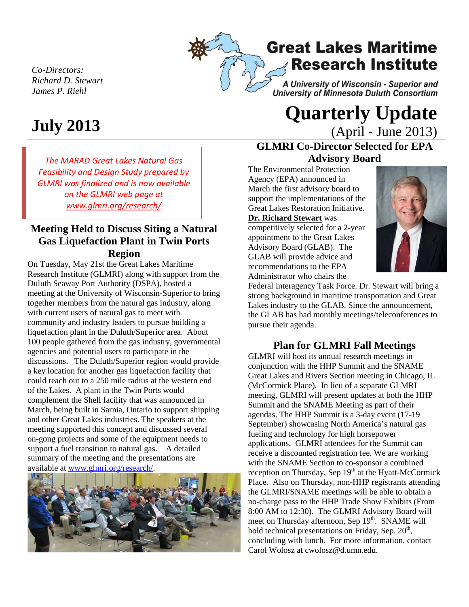*Co-Directors: Richard D. Stewart James P. Riehl*

# **Great Lakes Maritime Research Institute**

A University of Wisconsin - Superior and University of Minnesota Duluth Consortium

*The MARAD Great Lakes Natural Gas Feasibility and Design Study prepared by GLMRI was finalized and is now available on the GLMRI web page at [www.glmri.org/research/](http://www.glmri.org/research/)*

## **Meeting Held to Discuss Siting a Natural Gas Liquefaction Plant in Twin Ports Region**

On Tuesday, May 21st the Great Lakes Maritime Research Institute (GLMRI) along with support from the Duluth Seaway Port Authority (DSPA), hosted a meeting at the University of Wisconsin-Superior to bring together members from the natural gas industry, along with current users of natural gas to meet with community and industry leaders to pursue building a liquefaction plant in the Duluth/Superior area. About 100 people gathered from the gas industry, governmental agencies and potential users to participate in the discussions. The Duluth/Superior region would provide a key location for another gas liquefaction facility that could reach out to a 250 mile radius at the western end of the Lakes. A plant in the Twin Ports would complement the Shell facility that was announced in March, being built in Sarnia, Ontario to support shipping and other Great Lakes industries. The speakers at the meeting supported this concept and discussed several on-gong projects and some of the equipment needs to support a fuel transition to natural gas. A detailed summary of the meeting and the presentations are available at [www.glmri.org/research/.](http://www.glmri.org/research/)



# **July 2013 Quarterly Update** (April - June 2013)

# **GLMRI Co-Director Selected for EPA Advisory Board**

The Environmental Protection Agency (EPA) announced in March the first advisory board to support the implementations of the Great Lakes Restoration Initiative. **Dr. Richard Stewart** was competitively selected for a 2-year appointment to the Great Lakes Advisory Board (GLAB). The GLAB will provide advice and recommendations to the EPA Administrator who chairs the



Federal Interagency Task Force. Dr. Stewart will bring a strong background in maritime transportation and Great Lakes industry to the GLAB. Since the announcement, the GLAB has had monthly meetings/teleconferences to pursue their agenda.

## **Plan for GLMRI Fall Meetings**

GLMRI will host its annual research meetings in conjunction with the HHP Summit and the SNAME Great Lakes and Rivers Section meeting in Chicago, IL (McCormick Place). In lieu of a separate GLMRI meeting, GLMRI will present updates at both the HHP Summit and the SNAME Meeting as part of their agendas. The HHP Summit is a 3-day event (17-19 September) showcasing North America's natural gas fueling and technology for high horsepower applications. GLMRI attendees for the Summit can receive a discounted registration fee. We are working with the SNAME Section to co-sponsor a combined reception on Thursday, Sep  $19<sup>th</sup>$  at the Hyatt-McCormick Place. Also on Thursday, non-HHP registrants attending the GLMRI/SNAME meetings will be able to obtain a no-charge pass to the HHP Trade Show Exhibits (From 8:00 AM to 12:30). The GLMRI Advisory Board will meet on Thursday afternoon, Sep  $19<sup>th</sup>$ . SNAME will hold technical presentations on Friday, Sep.  $20<sup>th</sup>$ , concluding with lunch. For more information, contact Carol Wolosz at cwolosz@d.umn.edu.